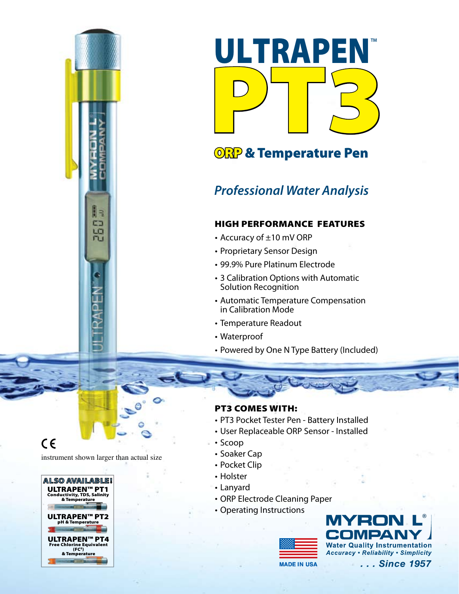

# **ORP & Temperature Pen**

# *Professional Water Analysis*

# High Performance Features

- Accuracy of ±10 mV ORP
- Proprietary Sensor Design
- 99.9% Pure Platinum Electrode
- 3 Calibration Options with Automatic Solution Recognition
- Automatic Temperature Compensation in Calibration Mode
- Temperature Readout
- Waterproof
- Powered by One N Type Battery (Included)

 $C \in$ 

instrument shown larger than actual size

 $\parallel$   $\Rightarrow$ œ LO ru



### PT3 Comes with:

- PT3 Pocket Tester Pen Battery Installed
- User Replaceable ORP Sensor Installed
- Scoop
- Soaker Cap
- Pocket Clip
- Holster
- Lanyard
- ORP Electrode Cleaning Paper
- Operating Instructions



**®Water Quality Instrumentation Accuracy . Reliability . Simplicity** 

**MADE IN USA**

... Since 1957